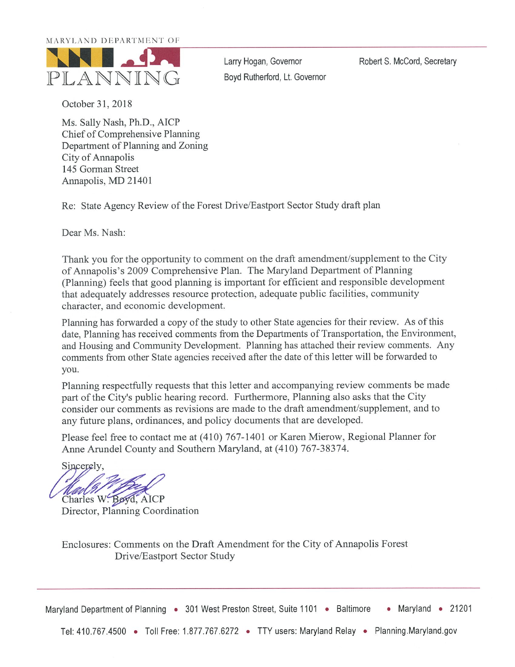#### MARYLAND DEPARTMENT OF



Larry Hogan, Governor Boyd Rutherford, Lt. Governor Robert S. McCord, Secretary

October 31, 2018

Ms. Sally Nash, Ph.D., AICP Chief of Comprehensive Planning Department of Planning and Zoning City of Annapolis 145 Gorman Street Annapolis, MD 21401

Re: State Agency Review of the Forest Drive/Eastport Sector Study draft plan

Dear Ms. Nash:

Thank you for the opportunity to comment on the draft amendment/supplement to the City of Annapolis's 2009 Comprehensive Plan. The Maryland Department of Planning (Planning) feels that good planning is important for efficient and responsible development that adequately addresses resource protection, adequate public facilities, community character, and economic development.

Planning has forwarded a copy of the study to other State agencies for their review. As of this date, Planning has received comments from the Departments of Transportation, the Environment, and Housing and Community Development. Planning has attached their review comments. Any comments from other State agencies received after the date of this letter will be forwarded to you.

Planning respectfully requests that this letter and accompanying review comments be made part of the City's public hearing record. Furthermore, Planning also asks that the City consider our comments as revisions are made to the draft amendment/supplement, and to any future plans, ordinances, and policy documents that are developed.

Please feel free to contact me at (410) 767-1401 or Karen Mierow, Regional Planner for Anne Arundel County and Southern Maryland, at (410) 767-38374.

Sincerely, Charles W. Boyd, AICP

Director, Planning Coordination

Enclosures: Comments on the Draft Amendment for the City of Annapolis Forest Drive/Eastport Sector Study

Maryland Department of Planning • 301 West Preston Street, Suite 1101 • Baltimore • Maryland • 21201

Tel: 410.767.4500 • Toll Free: 1.877.767.6272 • TTY users: Maryland Relay • Planning.Maryland.gov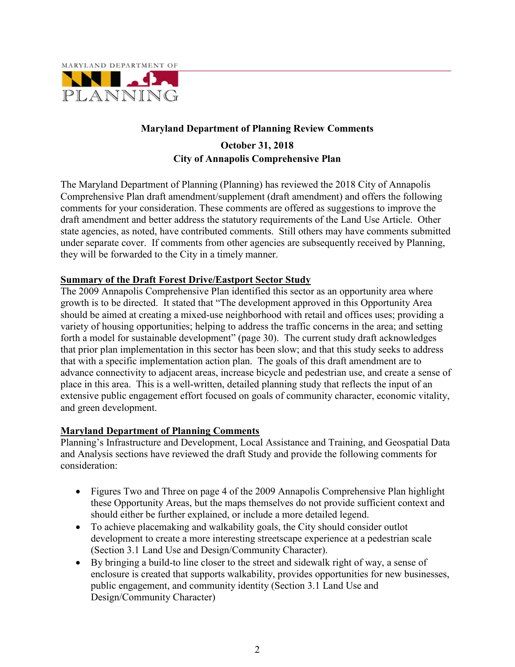

#### **Maryland Department of Planning Review Comments**

### **October 31, 2018 City of Annapolis Comprehensive Plan**

The Maryland Department of Planning (Planning) has reviewed the 2018 City of Annapolis Comprehensive Plan draft amendment/supplement (draft amendment) and offers the following comments for your consideration. These comments are offered as suggestions to improve the draft amendment and better address the statutory requirements of the Land Use Article. Other state agencies, as noted, have contributed comments. Still others may have comments submitted under separate cover. If comments from other agencies are subsequently received by Planning, they will be forwarded to the City in a timely manner.

#### **Summary of the Draft Forest Drive/Eastport Sector Study**

The 2009 Annapolis Comprehensive Plan identified this sector as an opportunity area where growth is to be directed. It stated that "The development approved in this Opportunity Area should be aimed at creating a mixed-use neighborhood with retail and offices uses; providing a variety of housing opportunities; helping to address the traffic concerns in the area; and setting forth a model for sustainable development" (page 30). The current study draft acknowledges that prior plan implementation in this sector has been slow; and that this study seeks to address that with a specific implementation action plan. The goals of this draft amendment are to advance connectivity to adjacent areas, increase bicycle and pedestrian use, and create a sense of place in this area. This is a well-written, detailed planning study that reflects the input of an extensive public engagement effort focused on goals of community character, economic vitality, and green development.

#### **Maryland Department of Planning Comments**

Planning's Infrastructure and Development, Local Assistance and Training, and Geospatial Data and Analysis sections have reviewed the draft Study and provide the following comments for consideration:

- Figures Two and Three on page 4 of the 2009 Annapolis Comprehensive Plan highlight these Opportunity Areas, but the maps themselves do not provide sufficient context and should either be further explained, or include a more detailed legend.
- To achieve placemaking and walkability goals, the City should consider outlot development to create a more interesting streetscape experience at a pedestrian scale (Section 3.1 Land Use and Design/Community Character).
- By bringing a build-to line closer to the street and sidewalk right of way, a sense of enclosure is created that supports walkability, provides opportunities for new businesses, public engagement, and community identity (Section 3.1 Land Use and Design/Community Character)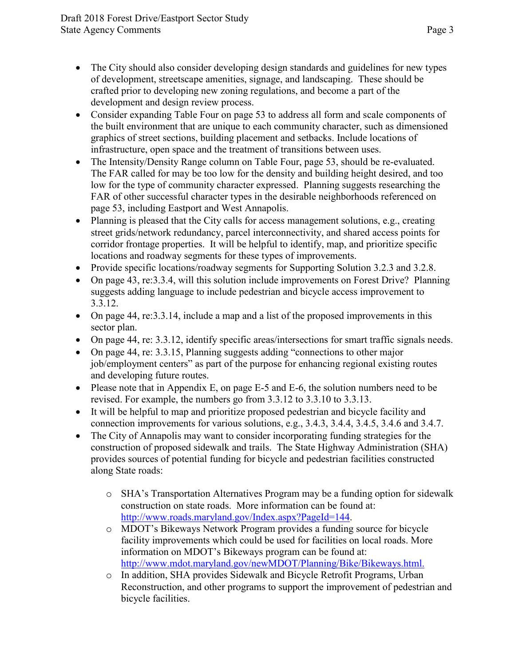- The City should also consider developing design standards and guidelines for new types of development, streetscape amenities, signage, and landscaping. These should be crafted prior to developing new zoning regulations, and become a part of the development and design review process.
- Consider expanding Table Four on page 53 to address all form and scale components of the built environment that are unique to each community character, such as dimensioned graphics of street sections, building placement and setbacks. Include locations of infrastructure, open space and the treatment of transitions between uses.
- The Intensity/Density Range column on Table Four, page 53, should be re-evaluated. The FAR called for may be too low for the density and building height desired, and too low for the type of community character expressed. Planning suggests researching the FAR of other successful character types in the desirable neighborhoods referenced on page 53, including Eastport and West Annapolis.
- Planning is pleased that the City calls for access management solutions, e.g., creating street grids/network redundancy, parcel interconnectivity, and shared access points for corridor frontage properties. It will be helpful to identify, map, and prioritize specific locations and roadway segments for these types of improvements.
- Provide specific locations/roadway segments for Supporting Solution 3.2.3 and 3.2.8.
- On page 43, re: 3.3.4, will this solution include improvements on Forest Drive? Planning suggests adding language to include pedestrian and bicycle access improvement to 3.3.12.
- On page 44, re: 3.3.14, include a map and a list of the proposed improvements in this sector plan.
- On page 44, re: 3.3.12, identify specific areas/intersections for smart traffic signals needs.
- On page 44, re: 3.3.15, Planning suggests adding "connections to other major job/employment centers" as part of the purpose for enhancing regional existing routes and developing future routes.
- Please note that in Appendix E, on page E-5 and E-6, the solution numbers need to be revised. For example, the numbers go from 3.3.12 to 3.3.10 to 3.3.13.
- It will be helpful to map and prioritize proposed pedestrian and bicycle facility and connection improvements for various solutions, e.g., 3.4.3, 3.4.4, 3.4.5, 3.4.6 and 3.4.7.
- The City of Annapolis may want to consider incorporating funding strategies for the construction of proposed sidewalk and trails. The State Highway Administration (SHA) provides sources of potential funding for bicycle and pedestrian facilities constructed along State roads:
	- o SHA's Transportation Alternatives Program may be a funding option for sidewalk construction on state roads. More information can be found at: [http://www.roads.maryland.gov/Index.aspx?PageId=144.](http://www.roads.maryland.gov/Index.aspx?PageId=144)
	- o MDOT's Bikeways Network Program provides a funding source for bicycle facility improvements which could be used for facilities on local roads. More information on MDOT's Bikeways program can be found at: [http://www.mdot.maryland.gov/newMDOT/Planning/Bike/Bikeways.html.](http://www.mdot.maryland.gov/newMDOT/Planning/Bike/Bikeways.html)
	- o In addition, SHA provides Sidewalk and Bicycle Retrofit Programs, Urban Reconstruction, and other programs to support the improvement of pedestrian and bicycle facilities.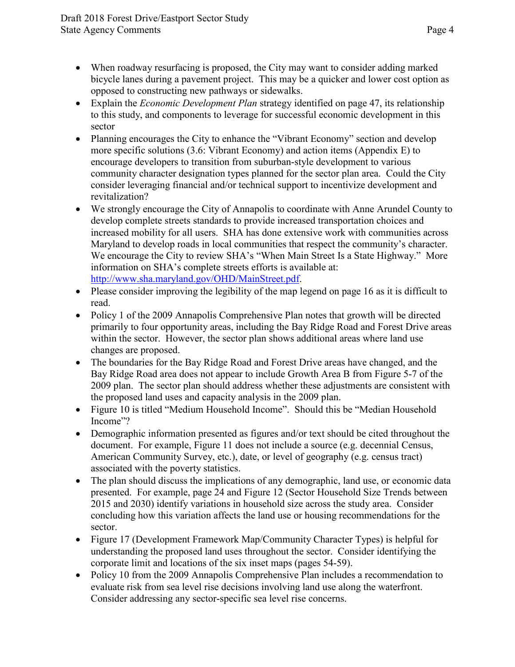- When roadway resurfacing is proposed, the City may want to consider adding marked bicycle lanes during a pavement project. This may be a quicker and lower cost option as opposed to constructing new pathways or sidewalks.
- Explain the *Economic Development Plan* strategy identified on page 47, its relationship to this study, and components to leverage for successful economic development in this sector
- Planning encourages the City to enhance the "Vibrant Economy" section and develop more specific solutions (3.6: Vibrant Economy) and action items (Appendix E) to encourage developers to transition from suburban-style development to various community character designation types planned for the sector plan area. Could the City consider leveraging financial and/or technical support to incentivize development and revitalization?
- We strongly encourage the City of Annapolis to coordinate with Anne Arundel County to develop complete streets standards to provide increased transportation choices and increased mobility for all users. SHA has done extensive work with communities across Maryland to develop roads in local communities that respect the community's character. We encourage the City to review SHA's "When Main Street Is a State Highway." More information on SHA's complete streets efforts is available at: [http://www.sha.maryland.gov/OHD/MainStreet.pdf.](http://www.sha.maryland.gov/OHD/MainStreet.pdf)
- Please consider improving the legibility of the map legend on page 16 as it is difficult to read.
- Policy 1 of the 2009 Annapolis Comprehensive Plan notes that growth will be directed primarily to four opportunity areas, including the Bay Ridge Road and Forest Drive areas within the sector. However, the sector plan shows additional areas where land use changes are proposed.
- The boundaries for the Bay Ridge Road and Forest Drive areas have changed, and the Bay Ridge Road area does not appear to include Growth Area B from Figure 5-7 of the 2009 plan. The sector plan should address whether these adjustments are consistent with the proposed land uses and capacity analysis in the 2009 plan.
- Figure 10 is titled "Medium Household Income". Should this be "Median Household Income"?
- Demographic information presented as figures and/or text should be cited throughout the document. For example, Figure 11 does not include a source (e.g. decennial Census, American Community Survey, etc.), date, or level of geography (e.g. census tract) associated with the poverty statistics.
- The plan should discuss the implications of any demographic, land use, or economic data presented. For example, page 24 and Figure 12 (Sector Household Size Trends between 2015 and 2030) identify variations in household size across the study area. Consider concluding how this variation affects the land use or housing recommendations for the sector.
- Figure 17 (Development Framework Map/Community Character Types) is helpful for understanding the proposed land uses throughout the sector. Consider identifying the corporate limit and locations of the six inset maps (pages 54-59).
- Policy 10 from the 2009 Annapolis Comprehensive Plan includes a recommendation to evaluate risk from sea level rise decisions involving land use along the waterfront. Consider addressing any sector-specific sea level rise concerns.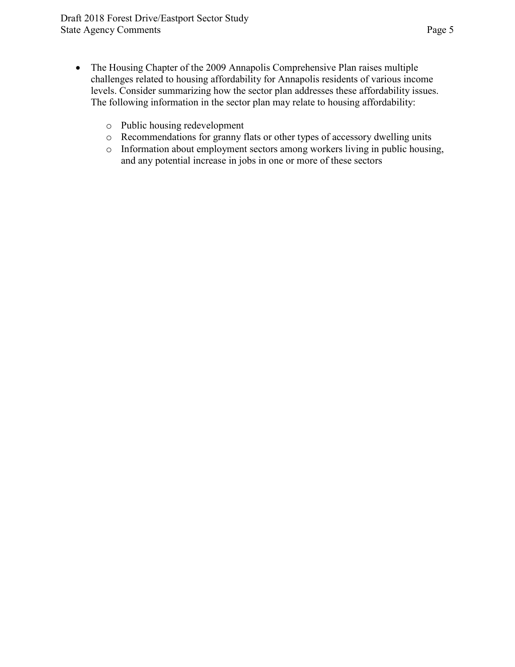- The Housing Chapter of the 2009 Annapolis Comprehensive Plan raises multiple challenges related to housing affordability for Annapolis residents of various income levels. Consider summarizing how the sector plan addresses these affordability issues. The following information in the sector plan may relate to housing affordability:
	- o Public housing redevelopment
	- o Recommendations for granny flats or other types of accessory dwelling units
	- o Information about employment sectors among workers living in public housing, and any potential increase in jobs in one or more of these sectors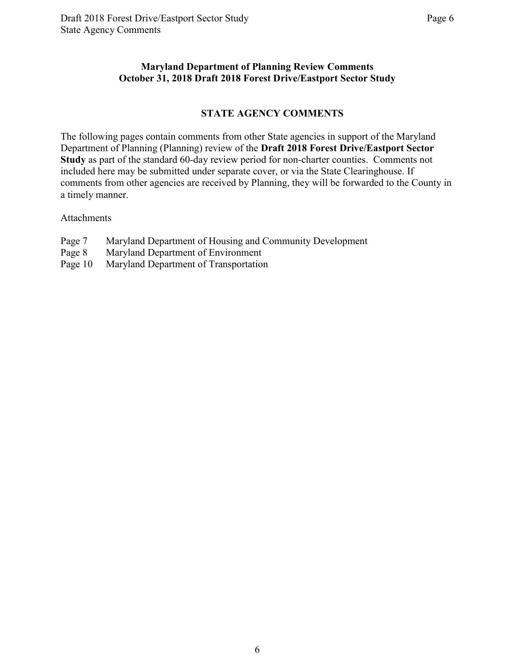#### **Maryland Department of Planning Review Comments October 31, 2018 Draft 2018 Forest Drive/Eastport Sector Study**

#### **STATE AGENCY COMMENTS**

The following pages contain comments from other State agencies in support of the Maryland Department of Planning (Planning) review of the **Draft 2018 Forest Drive/Eastport Sector Study** as part of the standard 60-day review period for non-charter counties. Comments not included here may be submitted under separate cover, or via the State Clearinghouse. If comments from other agencies are received by Planning, they will be forwarded to the County in a timely manner.

Attachments

- Page 7 Maryland Department of Housing and Community Development
- Page 8 Maryland Department of Environment
- Page 10 Maryland Department of Transportation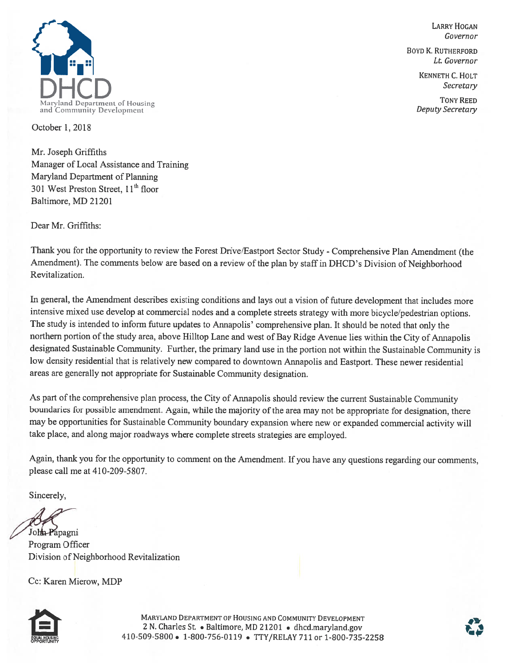

**LARRY HOGAN** Governor

**BOYD K. RUTHERFORD** Lt. Governor

> KENNETH C. HOLT Secretary

**TONY REED** Deputy Secretary

October 1, 2018

Mr. Joseph Griffiths Manager of Local Assistance and Training Maryland Department of Planning 301 West Preston Street, 11<sup>th</sup> floor Baltimore, MD 21201

Dear Mr. Griffiths:

Thank you for the opportunity to review the Forest Drive/Eastport Sector Study - Comprehensive Plan Amendment (the Amendment). The comments below are based on a review of the plan by staff in DHCD's Division of Neighborhood Revitalization.

In general, the Amendment describes existing conditions and lays out a vision of future development that includes more intensive mixed use develop at commercial nodes and a complete streets strategy with more bicycle/pedestrian options. The study is intended to inform future updates to Annapolis' comprehensive plan. It should be noted that only the northern portion of the study area, above Hilltop Lane and west of Bay Ridge Avenue lies within the City of Annapolis designated Sustainable Community. Further, the primary land use in the portion not within the Sustainable Community is low density residential that is relatively new compared to downtown Annapolis and Eastport. These newer residential areas are generally not appropriate for Sustainable Community designation.

As part of the comprehensive plan process, the City of Annapolis should review the current Sustainable Community boundaries for possible amendment. Again, while the majority of the area may not be appropriate for designation, there may be opportunities for Sustainable Community boundary expansion where new or expanded commercial activity will take place, and along major roadways where complete streets strategies are employed.

Again, thank you for the opportunity to comment on the Amendment. If you have any questions regarding our comments, please call me at 410-209-5807.

Sincerely,

John Papagni Program Officer Division of Neighborhood Revitalization

Cc: Karen Mierow, MDP



MARYLAND DEPARTMENT OF HOUSING AND COMMUNITY DEVELOPMENT 2 N. Charles St. • Baltimore, MD 21201 • dhcd.maryland.gov 410-509-5800 • 1-800-756-0119 • TTY/RELAY 711 or 1-800-735-2258

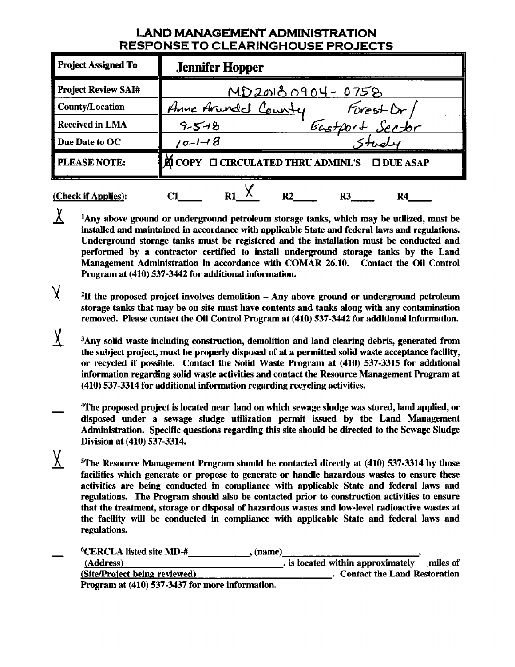## **LAND MANAGEMENT ADMINISTRATION RESPONSE TO CLEARINGHOUSE PROJECTS**

| <b>Project Assigned To</b> | <b>Jennifer Hopper</b>                                       |
|----------------------------|--------------------------------------------------------------|
| <b>Project Review SAI#</b> | $MD20180904 - 0758$                                          |
| County/Location            | Anne Arundel County<br>Forest Dr                             |
| <b>Received in LMA</b>     | Gastport Sector<br>$9 - 5 - 8$                               |
| Due Date to OC             | $10 - 1 - 18$                                                |
| <b>PLEASE NOTE:</b>        | <b>E</b> COPY □ CIRCULATED THRU ADMINI'S<br><b>ODUE ASAP</b> |
| (Check if Applies):        | R2<br>R4<br>R3                                               |

<sup>1</sup>Any above ground or underground petroleum storage tanks, which may be utilized, must be installed and maintained in accordance with applicable State and federal laws and regulations. Underground storage tanks must be registered and the installation must be conducted and performed by a contractor certified to install underground storage tanks by the Land Management Administration in accordance with COMAR 26.10. Contact the Oil Control Program at (410) 537-3442 for additional information.

 $\chi$ 

 $\underline{\chi}$ 

- $\overline{X}$ <sup>2</sup>If the proposed project involves demolition  $-$  Any above ground or underground petroleum storage tanks that may be on site must have contents and tanks along with any contamination removed. Please contact the Oil Control Program at (410) 537-3442 for additional information.
- $\chi$ <sup>3</sup>Any solid waste including construction, demolition and land clearing debris, generated from the subject project, must be properly disposed of at a permitted solid waste acceptance facility, or recycled if possible. Contact the Solid Waste Program at (410) 537-3315 for additional information regarding solid waste activities and contact the Resource Management Program at (410) 537-3314 for additional information regarding recycling activities.
- <sup>4</sup>The proposed project is located near land on which sewage sludge was stored, land applied, or disposed under a sewage sludge utilization permit issued by the Land Management Administration. Specific questions regarding this site should be directed to the Sewage Sludge Division at (410) 537-3314.
	- $5$ The Resource Management Program should be contacted directly at  $(410)$  537-3314 by those facilities which generate or propose to generate or handle hazardous wastes to ensure these activities are being conducted in compliance with applicable State and federal laws and regulations. The Program should also be contacted prior to construction activities to ensure that the treatment, storage or disposal of hazardous wastes and low-level radioactive wastes at the facility will be conducted in compliance with applicable State and federal laws and regulations.

| <sup>6</sup> CERCLA listed site MD-#<br>. (name) |                                          |
|--------------------------------------------------|------------------------------------------|
| (Address)                                        | is located within approximately miles of |
| (Site/Project being reviewed)                    | <b>Contact the Land Restoration</b>      |
| Program at (410) 537-3437 for more information.  |                                          |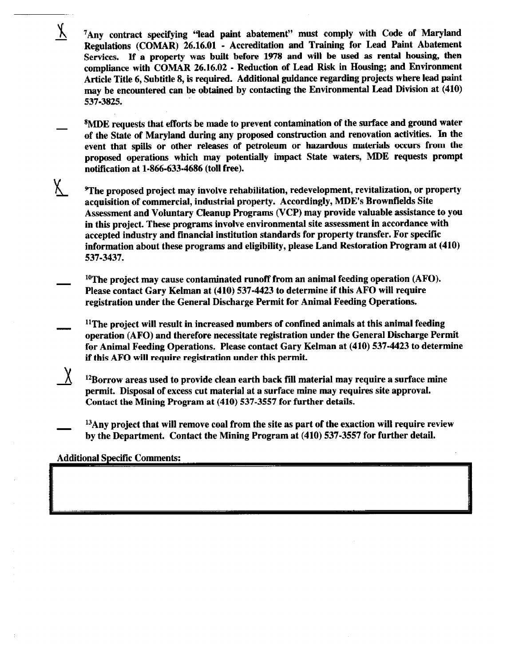<sup>7</sup>Any contract specifying "lead paint abatement" must comply with Code of Maryland Regulations (COMAR) 26.16.01 - Accreditation and Training for Lead Paint Abatement Services. If a property was built before 1978 and will be used as rental housing, then compliance with COMAR 26.16.02 - Reduction of Lead Risk in Housing; and Environment Article Title 6, Subtitle 8, is required. Additional guidance regarding projects where lead paint may be encountered can be obtained by contacting the Environmental Lead Division at (410) 537-3825.

<sup>8</sup>MDE requests that efforts be made to prevent contamination of the surface and ground water of the State of Maryland during any proposed construction and renovation activities. In the event that spills or other releases of petroleum or hazardous materials occurs from the proposed operations which may potentially impact State waters, MDE requests prompt notification at 1-866-633-4686 (toll free).

- χ. <sup>9</sup>The proposed project may involve rehabilitation, redevelopment, revitalization, or property acquisition of commercial, industrial property. Accordingly, MDE's Brownfields Site Assessment and Voluntary Cleanup Programs (VCP) may provide valuable assistance to you in this project. These programs involve environmental site assessment in accordance with accepted industry and financial institution standards for property transfer. For specific information about these programs and eligibility, please Land Restoration Program at (410) 537-3437.
	- $10$ The project may cause contaminated runoff from an animal feeding operation (AFO). Please contact Gary Kelman at (410) 537-4423 to determine if this AFO will require registration under the General Discharge Permit for Animal Feeding Operations.
	- $11$ The project will result in increased numbers of confined animals at this animal feeding operation (AFO) and therefore necessitate registration under the General Discharge Permit for Animal Feeding Operations. Please contact Gary Kelman at (410) 537-4423 to determine if this AFO will require registration under this permit.
		- $^{12}$ Borrow areas used to provide clean earth back fill material may require a surface mine permit. Disposal of excess cut material at a surface mine may requires site approval. Contact the Mining Program at (410) 537-3557 for further details.
	- $^{13}$ Any project that will remove coal from the site as part of the exaction will require review by the Department. Contact the Mining Program at (410) 537-3557 for further detail.

**Additional Specific Comments:** 

 $\chi$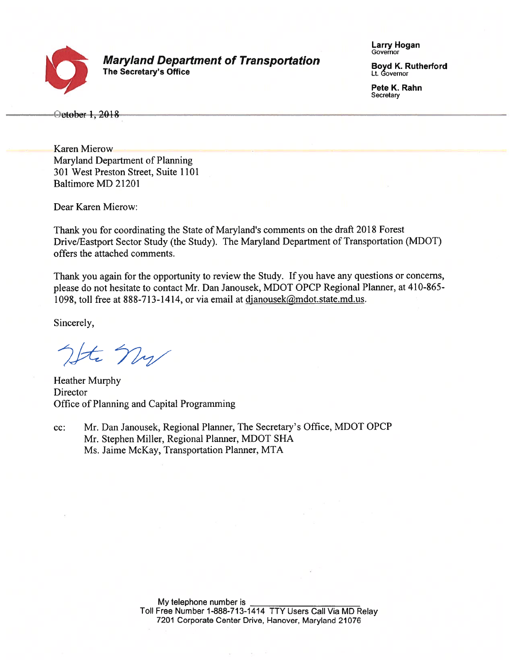

**Maryland Department of Transportation** The Secretary's Office

**Larry Hogan** Governor

**Boyd K. Rutherford** Lt. Governor

Pete K. Rahn Secretary

October 1, 2018

**Karen Mierow** Maryland Department of Planning 301 West Preston Street, Suite 1101 Baltimore MD 21201

Dear Karen Mierow:

Thank you for coordinating the State of Maryland's comments on the draft 2018 Forest Drive/Eastport Sector Study (the Study). The Maryland Department of Transportation (MDOT) offers the attached comments.

Thank you again for the opportunity to review the Study. If you have any questions or concerns, please do not hesitate to contact Mr. Dan Janousek, MDOT OPCP Regional Planner, at 410-865-1098, toll free at 888-713-1414, or via email at djanousek@mdot.state.md.us.

Sincerely,

It ny

**Heather Murphy** Director Office of Planning and Capital Programming

Mr. Dan Janousek, Regional Planner, The Secretary's Office, MDOT OPCP  $cc$ : Mr. Stephen Miller, Regional Planner, MDOT SHA Ms. Jaime McKay, Transportation Planner, MTA

> My telephone number is Toll Free Number 1-888-713-1414 TTY Users Call Via MD Relay 7201 Corporate Center Drive, Hanover, Maryland 21076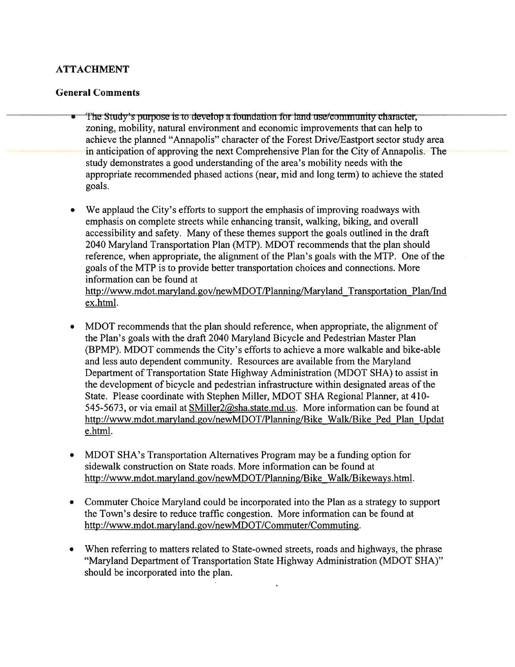# **ATTACHMENT**

### **General Comments**

- The Study's purpose is to develop a foundation for land use/community character. zoning, mobility, natural environment and economic improvements that can help to achieve the planned "Annapolis" character of the Forest Drive/Eastport sector study area in anticipation of approving the next Comprehensive Plan for the City of Annapolis. The study demonstrates a good understanding of the area's mobility needs with the appropriate recommended phased actions (near, mid and long term) to achieve the stated goals.
- We applaud the City's efforts to support the emphasis of improving roadways with  $\bullet$ emphasis on complete streets while enhancing transit, walking, biking, and overall accessibility and safety. Many of these themes support the goals outlined in the draft 2040 Maryland Transportation Plan (MTP). MDOT recommends that the plan should reference, when appropriate, the alignment of the Plan's goals with the MTP. One of the goals of the MTP is to provide better transportation choices and connections. More information can be found at http://www.mdot.maryland.gov/newMDOT/Planning/Maryland Transportation Plan/Ind ex.html.
- MDOT recommends that the plan should reference, when appropriate, the alignment of the Plan's goals with the draft 2040 Maryland Bicycle and Pedestrian Master Plan (BPMP). MDOT commends the City's efforts to achieve a more walkable and bike-able and less auto dependent community. Resources are available from the Maryland Department of Transportation State Highway Administration (MDOT SHA) to assist in the development of bicycle and pedestrian infrastructure within designated areas of the State. Please coordinate with Stephen Miller, MDOT SHA Regional Planner, at 410-545-5673, or via email at SMiller2@sha.state.md.us. More information can be found at http://www.mdot.maryland.gov/newMDOT/Planning/Bike Walk/Bike Ped Plan Updat e.html.
- MDOT SHA's Transportation Alternatives Program may be a funding option for sidewalk construction on State roads. More information can be found at http://www.mdot.maryland.gov/newMDOT/Planning/Bike Walk/Bikeways.html.
- Commuter Choice Maryland could be incorporated into the Plan as a strategy to support the Town's desire to reduce traffic congestion. More information can be found at http://www.mdot.maryland.gov/newMDOT/Commuter/Commuting.
- When referring to matters related to State-owned streets, roads and highways, the phrase "Maryland Department of Transportation State Highway Administration (MDOT SHA)" should be incorporated into the plan.